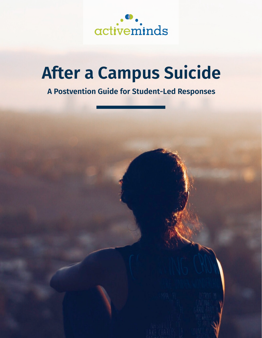

# **After a Campus Suicide**

# **A Postvention Guide for Student-Led Responses**

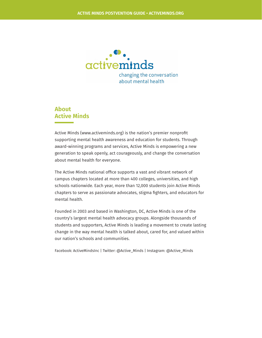

#### **About Active Minds**

Active Minds (www.activeminds.org) is the nation's premier nonprofit supporting mental health awareness and education for students. Through award-winning programs and services, Active Minds is empowering a new generation to speak openly, act courageously, and change the conversation about mental health for everyone.

The Active Minds national office supports a vast and vibrant network of campus chapters located at more than 400 colleges, universities, and high schools nationwide. Each year, more than 12,000 students join Active Minds chapters to serve as passionate advocates, stigma fighters, and educators for mental health.

Founded in 2003 and based in Washington, DC, Active Minds is one of the country's largest mental health advocacy groups. Alongside thousands of students and supporters, Active Minds is leading a movement to create lasting change in the way mental health is talked about, cared for, and valued within our nation's schools and communities.

Facebook: ActiveMindsInc | Twitter: @Active\_Minds | Instagram: @Active\_Minds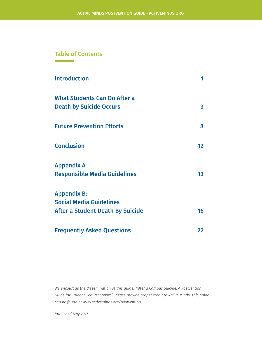#### **Table of Contents**

| <b>Introduction</b>                 |                 |
|-------------------------------------|-----------------|
| <b>What Students Can Do After a</b> |                 |
| <b>Death by Suicide Occurs</b>      | 3               |
| <b>Future Prevention Efforts</b>    | 8               |
| <b>Conclusion</b>                   | 12 <sup>°</sup> |
| <b>Appendix A:</b>                  |                 |
| <b>Responsible Media Guidelines</b> | 13              |
| <b>Appendix B:</b>                  |                 |
| <b>Social Media Guidelines</b>      |                 |
| After a Student Death By Suicide    | 16              |
| <b>Frequently Asked Questions</b>   | 22              |

*We encourage the dissemination of this guide, "After a Campus Suicide: A Postvention Guide for Student-Led Responses." Please provide proper credit to Active Minds. This guide can be found at www.activeminds.org/postvention.*

*Published May 2017*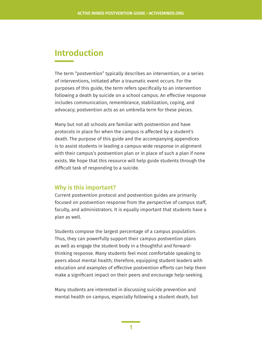# **Introduction**

The term "postvention" typically describes an intervention, or a series of interventions, initiated after a traumatic event occurs. For the purposes of this guide, the term refers specifically to an intervention following a death by suicide on a school campus. An effective response includes communication, remembrance, stabilization, coping, and advocacy; postvention acts as an umbrella term for these pieces.

Many but not all schools are familiar with postvention and have protocols in place for when the campus is affected by a student's death. The purpose of this guide and the accompanying appendices is to assist students in leading a campus-wide response in alignment with their campus's postvention plan or in place of such a plan if none exists. We hope that this resource will help guide students through the difficult task of responding to a suicide.

#### Why is this important?

Current postvention protocol and postvention guides are primarily focused on postvention response from the perspective of campus staff, faculty, and administrators. It is equally important that students have a plan as well.

Students compose the largest percentage of a campus population. Thus, they can powerfully support their campus postvention plans as well as engage the student body in a thoughtful and forwardthinking response. Many students feel most comfortable speaking to peers about mental health; therefore, equipping student leaders with education and examples of effective postvention efforts can help them make a significant impact on their peers and encourage help-seeking.

Many students are interested in discussing suicide prevention and mental health on campus, especially following a student death, but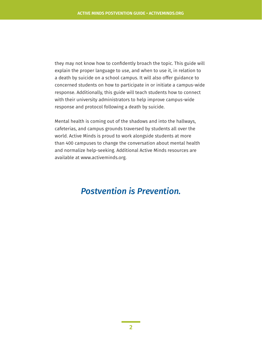they may not know how to confidently broach the topic. This guide will explain the proper language to use, and when to use it, in relation to a death by suicide on a school campus. It will also offer guidance to concerned students on how to participate in or initiate a campus-wide response. Additionally, this guide will teach students how to connect with their university administrators to help improve campus-wide response and protocol following a death by suicide.

Mental health is coming out of the shadows and into the hallways, cafeterias, and campus grounds traversed by students all over the world. Active Minds is proud to work alongside students at more than 400 campuses to change the conversation about mental health and normalize help-seeking. Additional Active Minds resources are available at www.activeminds.org.

## *Postvention is Prevention.*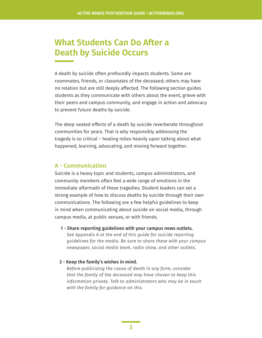# **What Students Can Do After a Death by Suicide Occurs**

A death by suicide often profoundly impacts students. Some are roommates, friends, or classmates of the deceased; others may have no relation but are still deeply affected. The following section guides students as they communicate with others about the event, grieve with their peers and campus community, and engage in action and advocacy to prevent future deaths by suicide.

The deep-seated effects of a death by suicide reverberate throughout communities for years. That is why responsibly addressing the tragedy is so critical – healing relies heavily upon talking about what happened, learning, advocating, and moving forward together.

#### A - Communication

Suicide is a heavy topic and students, campus administrators, and community members often feel a wide range of emotions in the immediate aftermath of these tragedies. Student leaders can set a strong example of how to discuss deaths by suicide through their own communications. The following are a few helpful guidelines to keep in mind when communicating about suicide on social media, through campus media, at public venues, or with friends.

 1 - Share reporting guidelines with your campus news outlets. *See Appendix A at the end of this guide for suicide reporting guidelines for the media. Be sure to share these with your campus newspaper, social media team, radio show, and other outlets.*

#### 2 - Keep the family's wishes in mind.

*Before publicizing the cause of death in any form, consider that the family of the deceased may have chosen to keep this information private. Talk to administrators who may be in touch with the family for guidance on this.*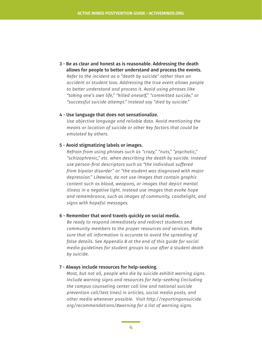3 - Be as clear and honest as is reasonable. Addressing the death allows for people to better understand and process the events. *Refer to the incident as a "death by suicide" rather than an accident or student loss. Addressing the true event allows people to better understand and process it. Avoid using phrases like "taking one's own life," "killed oneself," "committed suicide," or "successful suicide attempt." Instead say "died by suicide."*

#### 4 - Use language that does not sensationalize.

*Use objective language and reliable data. Avoid mentioning the means or location of suicide or other key factors that could be emulated by others.* 

#### 5 - Avoid stigmatizing labels or images.

*Refrain from using phrases such as "crazy," "nuts," "psychotic," "schizophrenic," etc. when describing the death by suicide. Instead use person-first descriptors such as "the individual suffered from bipolar disorder" or "the student was diagnosed with major depression." Likewise, do not use images that contain graphic content such as blood, weapons, or images that depict mental illness in a negative light. Instead use images that evoke hope and remembrance, such as images of community, candlelight, and signs with hopeful messages.* 

#### 6 - Remember that word travels quickly on social media.

*Be ready to respond immediately and redirect students and community members to the proper resources and services. Make sure that all information is accurate to avoid the spreading of false details. See Appendix B at the end of this guide for social media guidelines for student groups to use after a student death by suicide.*

#### 7 - Always include resources for help-seeking.

*Most, but not all, people who die by suicide exhibit warning signs. Include warning signs and resources for help-seeking (including the campus counseling center call line and national suicide prevention call/text lines) in articles, social media posts, and other media whenever possible. Visit http://reportingonsuicide. org/recommendations/#warning for a list of warning signs.*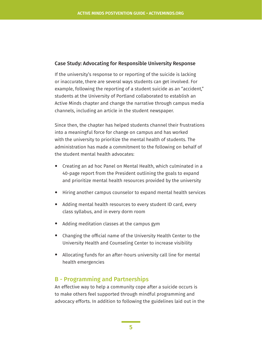#### Case Study: Advocating for Responsible University Response

If the university's response to or reporting of the suicide is lacking or inaccurate, there are several ways students can get involved. For example, following the reporting of a student suicide as an "accident," students at the University of Portland collaborated to establish an Active Minds chapter and change the narrative through campus media channels, including an article in the student newspaper.

Since then, the chapter has helped students channel their frustrations into a meaningful force for change on campus and has worked with the university to prioritize the mental health of students. The administration has made a commitment to the following on behalf of the student mental health advocates:

- Creating an ad hoc Panel on Mental Health, which culminated in a 40-page report from the President outlining the goals to expand and prioritize mental health resources provided by the university
- Hiring another campus counselor to expand mental health services
- Adding mental health resources to every student ID card, every class syllabus, and in every dorm room
- Adding meditation classes at the campus gym
- Changing the official name of the University Health Center to the University Health and Counseling Center to increase visibility
- Allocating funds for an after-hours university call line for mental health emergencies

#### B - Programming and Partnerships

An effective way to help a community cope after a suicide occurs is to make others feel supported through mindful programming and advocacy efforts. In addition to following the guidelines laid out in the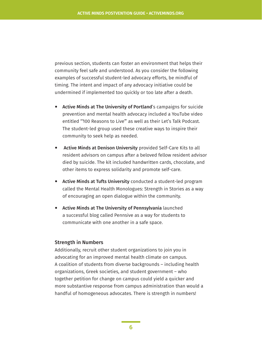previous section, students can foster an environment that helps their community feel safe and understood. As you consider the following examples of successful student-led advocacy efforts, be mindful of timing. The intent and impact of any advocacy initiative could be undermined if implemented too quickly or too late after a death.

- Active Minds at The University of Portland's campaigns for suicide prevention and mental health advocacy included a YouTube video entitled "'100 Reasons to Live'" as well as their Let's Talk Podcast. The student-led group used these creative ways to inspire their community to seek help as needed.
- Active Minds at Denison University provided Self-Care Kits to all resident advisors on campus after a beloved fellow resident advisor died by suicide. The kit included handwritten cards, chocolate, and other items to express solidarity and promote self-care.
- Active Minds at Tufts University conducted a student-led program called the Mental Health Monologues: Strength in Stories as a way of encouraging an open dialogue within the community.
- Active Minds at The University of Pennsylvania launched a successful blog called Pennsive as a way for students to communicate with one another in a safe space.

#### Strength in Numbers

Additionally, recruit other student organizations to join you in advocating for an improved mental health climate on campus. A coalition of students from diverse backgrounds – including health organizations, Greek societies, and student government – who together petition for change on campus could yield a quicker and more substantive response from campus administration than would a handful of homogeneous advocates. There is strength in numbers!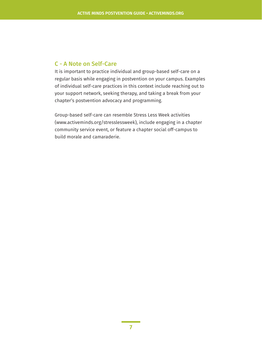#### C - A Note on Self-Care

It is important to practice individual and group-based self-care on a regular basis while engaging in postvention on your campus. Examples of individual self-care practices in this context include reaching out to your support network, seeking therapy, and taking a break from your chapter's postvention advocacy and programming.

Group-based self-care can resemble Stress Less Week activities (www.activeminds.org/stresslessweek), include engaging in a chapter community service event, or feature a chapter social off-campus to build morale and camaraderie.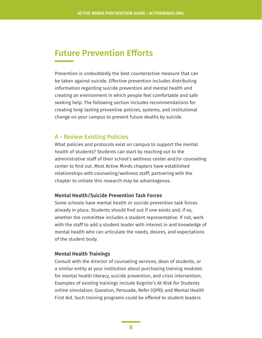## **Future Prevention Efforts**

Prevention is undoubtedly the best counteractive measure that can be taken against suicide. Effective prevention includes distributing information regarding suicide prevention and mental health and creating an environment in which people feel comfortable and safe seeking help. The following section includes recommendations for creating long-lasting preventive policies, systems, and institutional change on your campus to prevent future deaths by suicide.

#### A - Review Existing Policies

What policies and protocols exist on campus to support the mental health of students? Students can start by reaching out to the administrative staff of their school's wellness center and/or counseling center to find out. Most Active Minds chapters have established relationships with counseling/wellness staff; partnering with the chapter to initiate this research may be advantageous.

#### Mental Health/Suicide Prevention Task Forces

Some schools have mental health or suicide prevention task forces already in place. Students should find out if one exists and, if so, whether the committee includes a student representative. If not, work with the staff to add a student leader with interest in and knowledge of mental health who can articulate the needs, desires, and expectations of the student body.

#### Mental Health Trainings

Consult with the director of counseling services, dean of students, or a similar entity at your institution about purchasing training modules for mental health literacy, suicide prevention, and crisis intervention. Examples of existing trainings include Kognito's At-Risk for Students online simulation; Question, Persuade, Refer (QPR); and Mental Health First Aid. Such training programs could be offered to student leaders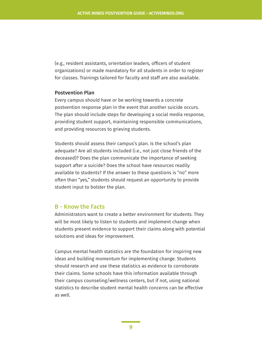(e.g., resident assistants, orientation leaders, officers of student organizations) or made mandatory for all students in order to register for classes. Trainings tailored for faculty and staff are also available.

#### Postvention Plan

Every campus should have or be working towards a concrete postvention response plan in the event that another suicide occurs. The plan should include steps for developing a social media response, providing student support, maintaining responsible communications, and providing resources to grieving students.

Students should assess their campus's plan. Is the school's plan adequate? Are all students included (i.e., not just close friends of the deceased)? Does the plan communicate the importance of seeking support after a suicide? Does the school have resources readily available to students? If the answer to these questions is "no" more often than "yes," students should request an opportunity to provide student input to bolster the plan.

#### B - Know the Facts

Administrators want to create a better environment for students. They will be most likely to listen to students and implement change when students present evidence to support their claims along with potential solutions and ideas for improvement.

Campus mental health statistics are the foundation for inspiring new ideas and building momentum for implementing change. Students should research and use these statistics as evidence to corroborate their claims. Some schools have this information available through their campus counseling/wellness centers, but if not, using national statistics to describe student mental health concerns can be effective as well.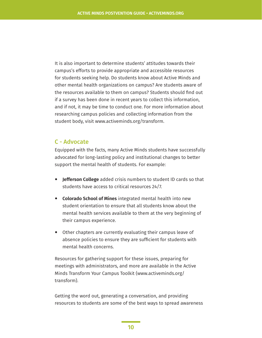It is also important to determine students' attitudes towards their campus's efforts to provide appropriate and accessible resources for students seeking help. Do students know about Active Minds and other mental health organizations on campus? Are students aware of the resources available to them on campus? Students should find out if a survey has been done in recent years to collect this information, and if not, it may be time to conduct one. For more information about researching campus policies and collecting information from the student body, visit www.activeminds.org/transform.

#### C - Advocate

Equipped with the facts, many Active Minds students have successfully advocated for long-lasting policy and institutional changes to better support the mental health of students. For example:

- **Jefferson College** added crisis numbers to student ID cards so that students have access to critical resources 24/7.
- **Colorado School of Mines** integrated mental health into new student orientation to ensure that all students know about the mental health services available to them at the very beginning of their campus experience.
- Other chapters are currently evaluating their campus leave of absence policies to ensure they are sufficient for students with mental health concerns.

Resources for gathering support for these issues, preparing for meetings with administrators, and more are available in the Active Minds Transform Your Campus Toolkit (www.activeminds.org/ transform).

Getting the word out, generating a conversation, and providing resources to students are some of the best ways to spread awareness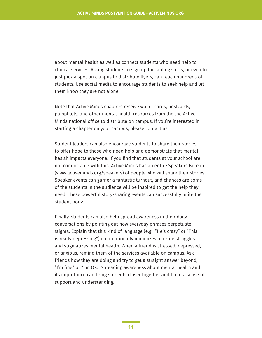about mental health as well as connect students who need help to clinical services. Asking students to sign up for tabling shifts, or even to just pick a spot on campus to distribute flyers, can reach hundreds of students. Use social media to encourage students to seek help and let them know they are not alone.

Note that Active Minds chapters receive wallet cards, postcards, pamphlets, and other mental health resources from the the Active Minds national office to distribute on campus. If you're interested in starting a chapter on your campus, please contact us.

Student leaders can also encourage students to share their stories to offer hope to those who need help and demonstrate that mental health impacts everyone. If you find that students at your school are not comfortable with this, Active Minds has an entire Speakers Bureau (www.activeminds.org/speakers) of people who will share their stories. Speaker events can garner a fantastic turnout, and chances are some of the students in the audience will be inspired to get the help they need. These powerful story-sharing events can successfully unite the student body.

Finally, students can also help spread awareness in their daily conversations by pointing out how everyday phrases perpetuate stigma. Explain that this kind of language (e.g., "He's crazy" or "This is really depressing") unintentionally minimizes real-life struggles and stigmatizes mental health. When a friend is stressed, depressed, or anxious, remind them of the services available on campus. Ask friends how they are doing and try to get a straight answer beyond, "I'm fine" or "I'm OK." Spreading awareness about mental health and its importance can bring students closer together and build a sense of support and understanding.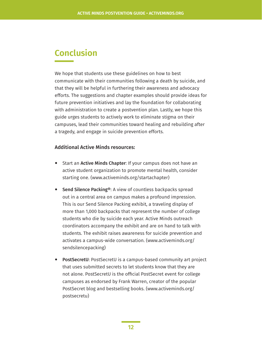# **Conclusion**

We hope that students use these guidelines on how to best communicate with their communities following a death by suicide, and that they will be helpful in furthering their awareness and advocacy efforts. The suggestions and chapter examples should provide ideas for future prevention initiatives and lay the foundation for collaborating with administration to create a postvention plan. Lastly, we hope this guide urges students to actively work to eliminate stigma on their campuses, lead their communities toward healing and rebuilding after a tragedy, and engage in suicide prevention efforts.

#### Additional Active Minds resources:

- Start an Active Minds Chapter: If your campus does not have an active student organization to promote mental health, consider starting one. (www.activeminds.org/startachapter)
- Send Silence Packing®: A view of countless backpacks spread out in a central area on campus makes a profound impression. This is our Send Silence Packing exhibit, a traveling display of more than 1,000 backpacks that represent the number of college students who die by suicide each year. Active Minds outreach coordinators accompany the exhibit and are on hand to talk with students. The exhibit raises awareness for suicide prevention and activates a campus-wide conversation. (www.activeminds.org/ sendsilencepacking)
- PostSecretU: PostSecretU is a campus-based community art project that uses submitted secrets to let students know that they are not alone. PostSecretU is the official PostSecret event for college campuses as endorsed by Frank Warren, creator of the popular PostSecret blog and bestselling books. (www.activeminds.org/ postsecretu)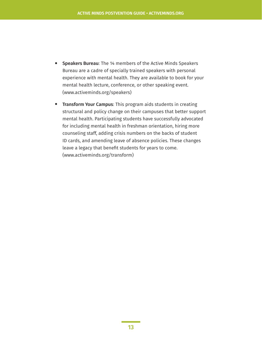- Speakers Bureau: The 14 members of the Active Minds Speakers Bureau are a cadre of specially trained speakers with personal experience with mental health. They are available to book for your mental health lecture, conference, or other speaking event. (www.activeminds.org/speakers)
- Transform Your Campus: This program aids students in creating structural and policy change on their campuses that better support mental health. Participating students have successfully advocated for including mental health in freshman orientation, hiring more counseling staff, adding crisis numbers on the backs of student ID cards, and amending leave of absence policies. These changes leave a legacy that benefit students for years to come. (www.activeminds.org/transform)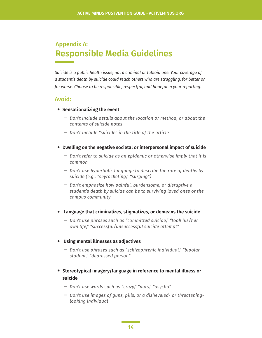### **Appendix A: Responsible Media Guidelines**

*Suicide is a public health issue, not a criminal or tabloid one. Your coverage of a student's death by suicide could reach others who are struggling, for better or for worse. Choose to be responsible, respectful, and hopeful in your reporting.*

#### Avoid:

- **Sensationalizing the event**
	- **―** *Don't include details about the location or method, or about the contents of suicide notes*
	- **―** *Don't include "suicide" in the title of the article*
- **Dwelling on the negative societal or interpersonal impact of suicide**
	- **―** *Don't refer to suicide as an epidemic or otherwise imply that it is common*
	- **―** *Don't use hyperbolic language to describe the rate of deaths by suicide (e.g., "skyrocketing," "surging")*
	- **―** *Don't emphasize how painful, burdensome, or disruptive a student's death by suicide can be to surviving loved ones or the campus community*
- • **Language that criminalizes, stigmatizes, or demeans the suicide**
	- **―** *Don't use phrases such as "committed suicide," "took his/her own life," "successful/unsuccessful suicide attempt"*
- • **Using mental illnesses as adjectives**
	- **―** *Don't use phrases such as "schizophrenic individual," "bipolar student," "depressed person"*
- **Stereotypical imagery/language in reference to mental illness or suicide**
	- **―** *Don't use words such as "crazy," "nuts," "psycho"*
	- **―** *Don't use images of guns, pills, or a disheveled- or threateninglooking individual*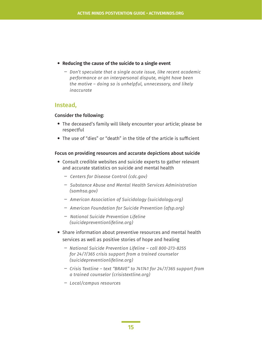- **Reducing the cause of the suicide to a single event**
	- **―** *Don't speculate that a single acute issue, like recent academic performance or an interpersonal dispute, might have been the motive – doing so is unhelpful, unnecessary, and likely inaccurate*

#### Instead,

#### Consider the following:

- The deceased's family will likely encounter your article; please be respectful
- The use of "dies" or "death" in the title of the article is sufficient

#### Focus on providing resources and accurate depictions about suicide

- Consult credible websites and suicide experts to gather relevant and accurate statistics on suicide and mental health
	- **―** *Centers for Disease Control (cdc.gov)*
	- **―** *Substance Abuse and Mental Health Services Administration (samhsa.gov)*
	- **―** *American Association of Suicidology (suicidology.org)*
	- **―** *American Foundation for Suicide Prevention (afsp.org)*
	- **―** *National Suicide Prevention Lifeline (suicidepreventionlifeline.org)*
- Share information about preventive resources and mental health services as well as positive stories of hope and healing
	- **―** *National Suicide Prevention Lifeline call 800-273-8255 for 24/7/365 crisis support from a trained counselor (suicidepreventionlifeline.org)*
	- **―** *Crisis Textline text "BRAVE" to 741741 for 24/7/365 support from a trained counselor (crisistextline.org)*
	- **―** *Local/campus resources*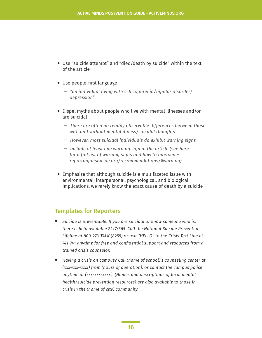- Use "suicide attempt" and "died/death by suicide" within the text of the article
- Use people-first language
	- **―** *"an individual living with schizophrenia/bipolar disorder/ depression"*
- Dispel myths about people who live with mental illnesses and/or are suicidal
	- **―** *There are often no readily observable differences between those with and without mental illness/suicidal thoughts*
	- **―** *However, most suicidal individuals do exhibit warning signs*
	- **―** *Include at least one warning sign in the article (see here for a full list of warning signs and how to intervene: reportingonsuicide.org/recommendations/#warning)*
- Emphasize that although suicide is a multifaceted issue with environmental, interpersonal, psychological, and biological implications, we rarely know the exact cause of death by a suicide

#### Templates for Reporters

- *Suicide is preventable. If you are suicidal or know someone who is, there is help available 24/7/365. Call the National Suicide Prevention Lifeline at 800-273-TALK (8255) or text "HELLO" to the Crisis Text Line at 741-741 anytime for free and confidential support and resources from a trained crisis counselor.*
- *Having a crisis on campus? Call (name of school)'s counseling center at (xxx-xxx-xxxx) from (hours of operation), or contact the campus police anytime at (xxx-xxx-xxxx). (Names and descriptions of local mental health/suicide prevention resources) are also available to those in crisis in the (name of city) community.*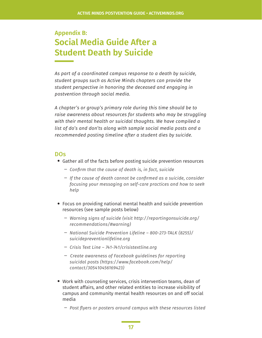### **Appendix B: Social Media Guide After a Student Death by Suicide**

*As part of a coordinated campus response to a death by suicide, student groups such as Active Minds chapters can provide the student perspective in honoring the deceased and engaging in postvention through social media.* 

*A chapter's or group's primary role during this time should be to raise awareness about resources for students who may be struggling with their mental health or suicidal thoughts. We have compiled a list of do's and don'ts along with sample social media posts and a recommended posting timeline after a student dies by suicide.* 

#### DOs

- Gather all of the facts before posting suicide prevention resources
	- **―** *Confirm that the cause of death is, in fact, suicide*
	- **―** *If the cause of death cannot be confirmed as a suicide, consider focusing your messaging on self-care practices and how to seek help*
- Focus on providing national mental health and suicide prevention resources (see sample posts below)
	- **―** *Warning signs of suicide (visit http://reportingonsuicide.org/ recommendations/#warning)*
	- **―** *National Suicide Prevention Lifeline 800-273-TALK (8255)/ suicidepreventionlifeline.org*
	- **―** *Crisis Text Line 741-741/crisistextline.org*
	- **―** *Create awareness of Facebook guidelines for reporting suicidal posts (https://www.facebook.com/help/ contact/305410456169423)*
- Work with counseling services, crisis intervention teams, dean of student affairs, and other related entities to increase visibility of campus and community mental health resources on and off social media
	- **―** *Post flyers or posters around campus with these resources listed*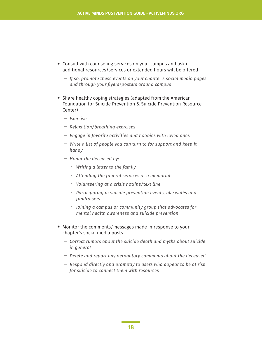- Consult with counseling services on your campus and ask if additional resources/services or extended hours will be offered
	- **―** *If so, promote these events on your chapter's social media pages and through your flyers/posters around campus*
- Share healthy coping strategies (adapted from the American Foundation for Suicide Prevention & Suicide Prevention Resource Center)
	- **―** *Exercise*
	- **―** *Relaxation/breathing exercises*
	- **―** *Engage in favorite activities and hobbies with loved ones*
	- **―** *Write a list of people you can turn to for support and keep it handy*
	- **―** *Honor the deceased by:* 
		- *Writing a letter to the family*
		- *Attending the funeral services or a memorial*
		- *Volunteering at a crisis hotline/text line*
		- *Participating in suicide prevention events, like walks and fundraisers*
		- *Joining a campus or community group that advocates for mental health awareness and suicide prevention*
- Monitor the comments/messages made in response to your chapter's social media posts
	- **―** *Correct rumors about the suicide death and myths about suicide in general*
	- **―** *Delete and report any derogatory comments about the deceased*
	- **―** *Respond directly and promptly to users who appear to be at risk for suicide to connect them with resources*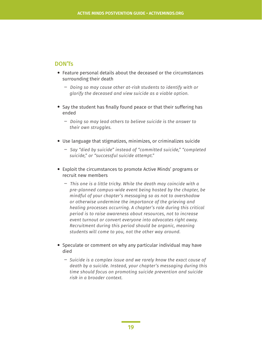#### DON'Ts

- Feature personal details about the deceased or the circumstances surrounding their death
	- **―** *Doing so may cause other at-risk students to identify with or glorify the deceased and view suicide as a viable option.*
- Say the student has finally found peace or that their suffering has ended
	- **―** *Doing so may lead others to believe suicide is the answer to their own struggles.*
- Use language that stigmatizes, minimizes, or criminalizes suicide
	- **―** *Say "died by suicide" instead of "committed suicide," "completed suicide," or "successful suicide attempt."*
- Exploit the circumstances to promote Active Minds' programs or recruit new members
	- **―** *This one is a little tricky. While the death may coincide with a pre-planned campus-wide event being hosted by the chapter, be mindful of your chapter's messaging so as not to overshadow or otherwise undermine the importance of the grieving and healing processes occurring. A chapter's role during this critical period is to raise awareness about resources, not to increase event turnout or convert everyone into advocates right away. Recruitment during this period should be organic, meaning students will come to you, not the other way around.*
- Speculate or comment on why any particular individual may have died
	- **―** *Suicide is a complex issue and we rarely know the exact cause of death by a suicide. Instead, your chapter's messaging during this time should focus on promoting suicide prevention and suicide risk in a broader context.*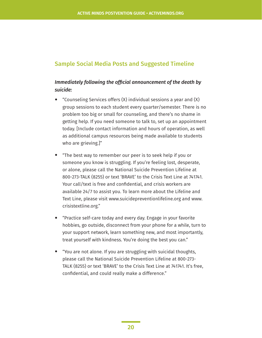#### Sample Social Media Posts and Suggested Timeline

#### *Immediately following the official announcement of the death by suicide:*

- "Counseling Services offers (X) individual sessions a year and (X) group sessions to each student every quarter/semester. There is no problem too big or small for counseling, and there's no shame in getting help. If you need someone to talk to, set up an appointment today. [Include contact information and hours of operation, as well as additional campus resources being made available to students who are grieving.]"
- "The best way to remember our peer is to seek help if you or someone you know is struggling. If you're feeling lost, desperate, or alone, please call the National Suicide Prevention Lifeline at 800-273-TALK (8255) or text 'BRAVE' to the Crisis Text Line at 741741. Your call/text is free and confidential, and crisis workers are available 24/7 to assist you. To learn more about the Lifeline and Text Line, please visit www.suicidepreventionlifeline.org and www. crisistextline.org."
- "Practice self-care today and every day. Engage in your favorite hobbies, go outside, disconnect from your phone for a while, turn to your support network, learn something new, and most importantly, treat yourself with kindness. You're doing the best you can."
- "You are not alone. If you are struggling with suicidal thoughts, please call the National Suicide Prevention Lifeline at 800-273- TALK (8255) or text 'BRAVE' to the Crisis Text Line at 741741. It's free, confidential, and could really make a difference."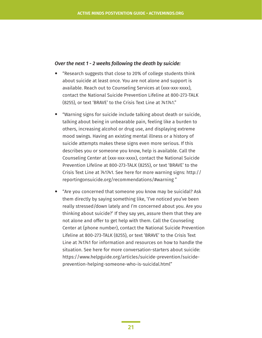#### *Over the next 1 - 2 weeks following the death by suicide:*

- "Research suggests that close to 20% of college students think about suicide at least once. You are not alone and support is available. Reach out to Counseling Services at (xxx-xxx-xxxx), contact the National Suicide Prevention Lifeline at 800-273-TALK (8255), or text 'BRAVE' to the Crisis Text Line at 741741."
- "Warning signs for suicide include talking about death or suicide, talking about being in unbearable pain, feeling like a burden to others, increasing alcohol or drug use, and displaying extreme mood swings. Having an existing mental illness or a history of suicide attempts makes these signs even more serious. If this describes you or someone you know, help is available. Call the Counseling Center at (xxx-xxx-xxxx), contact the National Suicide Prevention Lifeline at 800-273-TALK (8255), or text 'BRAVE' to the Crisis Text Line at 741741. See here for more warning signs: http:// reportingonsuicide.org/recommendations/#warning "
- "Are you concerned that someone you know may be suicidal? Ask them directly by saying something like, 'I've noticed you've been really stressed/down lately and I'm concerned about you. Are you thinking about suicide?' If they say yes, assure them that they are not alone and offer to get help with them. Call the Counseling Center at (phone number), contact the National Suicide Prevention Lifeline at 800-273-TALK (8255), or text 'BRAVE' to the Crisis Text Line at 741741 for information and resources on how to handle the situation. See here for more conversation-starters about suicide: https://www.helpguide.org/articles/suicide-prevention/suicideprevention-helping-someone-who-is-suicidal.html"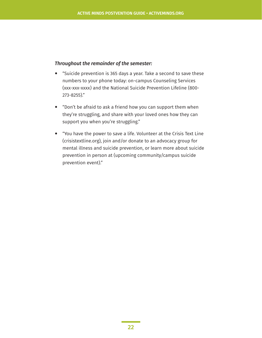#### *Throughout the remainder of the semester:*

- "Suicide prevention is 365 days a year. Take a second to save these numbers to your phone today: on-campus Counseling Services (xxx-xxx-xxxx) and the National Suicide Prevention Lifeline (800- 273-8255)."
- "Don't be afraid to ask a friend how you can support them when they're struggling, and share with your loved ones how they can support you when you're struggling."
- "You have the power to save a life. Volunteer at the Crisis Text Line (crisistextline.org), join and/or donate to an advocacy group for mental illness and suicide prevention, or learn more about suicide prevention in person at (upcoming community/campus suicide prevention event)."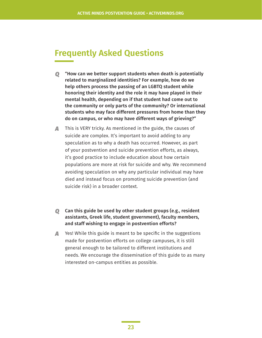# **Frequently Asked Questions**

- *Q* "How can we better support students when death is potentially related to marginalized identities? For example, how do we help others process the passing of an LGBTQ student while honoring their identity and the role it may have played in their mental health, depending on if that student had come out to the community or only parts of the community? Or international students who may face different pressures from home than they do on campus, or who may have different ways of grieving?"
- *A* This is VERY tricky. As mentioned in the guide, the causes of suicide are complex. It's important to avoid adding to any speculation as to why a death has occurred. However, as part of your postvention and suicide prevention efforts, as always, it's good practice to include education about how certain populations are more at risk for suicide and why. We recommend avoiding speculation on why any particular individual may have died and instead focus on promoting suicide prevention (and suicide risk) in a broader context.
- *Q* Can this guide be used by other student groups (e.g., resident assistants, Greek life, student government), faculty members, and staff wishing to engage in postvention efforts?
- *A* Yes! While this guide is meant to be specific in the suggestions made for postvention efforts on college campuses, it is still general enough to be tailored to different institutions and needs. We encourage the dissemination of this guide to as many interested on-campus entities as possible.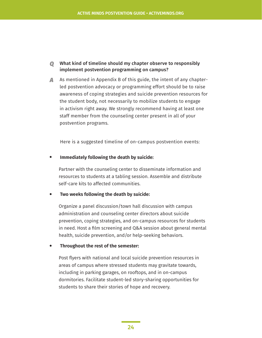#### *Q* What kind of timeline should my chapter observe to responsibly implement postvention programming on campus?

*A* As mentioned in Appendix B of this guide, the intent of any chapterled postvention advocacy or programming effort should be to raise awareness of coping strategies and suicide prevention resources for the student body, not necessarily to mobilize students to engage in activism right away. We strongly recommend having at least one staff member from the counseling center present in all of your postvention programs.

Here is a suggested timeline of on-campus postvention events:

• **Immediately following the death by suicide:** 

Partner with the counseling center to disseminate information and resources to students at a tabling session. Assemble and distribute self-care kits to affected communities.

• **Two weeks following the death by suicide:** 

 Organize a panel discussion/town hall discussion with campus administration and counseling center directors about suicide prevention, coping strategies, and on-campus resources for students in need. Host a film screening and Q&A session about general mental health, suicide prevention, and/or help-seeking behaviors.

• **Throughout the rest of the semester:** 

 Post flyers with national and local suicide prevention resources in areas of campus where stressed students may gravitate towards, including in parking garages, on rooftops, and in on-campus dormitories. Facilitate student-led story-sharing opportunities for students to share their stories of hope and recovery.